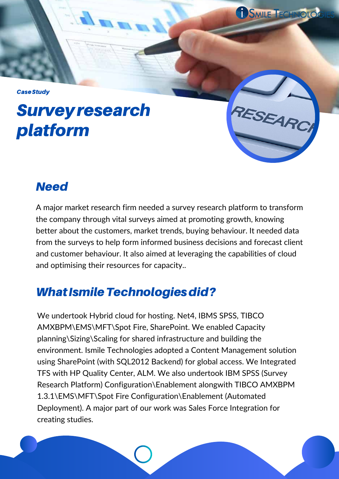**Case Study** 

# Surveyresearch platform

### **Need**

A major market research firm needed a survey research platform to transform the company through vital surveys aimed at promoting growth, knowing better about the customers, market trends, buying behaviour. It needed data from the surveys to help form informed business decisions and forecast client and customer behaviour. It also aimed at leveraging the capabilities of cloud and optimising their resources for capacity..

COSMILE TECHNOLOG

RESEARCH

## What Ismile Technologies did?

We undertook Hybrid cloud for hosting. Net4, IBMS SPSS, TIBCO AMXBPM\EMS\MFT\Spot Fire, SharePoint. We enabled Capacity planning\Sizing\Scaling for shared infrastructure and building the environment. Ismile Technologies adopted a Content Management solution using SharePoint (with SQL2012 Backend) for global access. We Integrated TFS with HP Quality Center, ALM. We also undertook IBM SPSS (Survey Research Platform) Configuration\Enablement alongwith TIBCO AMXBPM 1.3.1\EMS\MFT\Spot Fire Configuration\Enablement (Automated Deployment). A major part of our work was Sales Force Integration for creating studies.